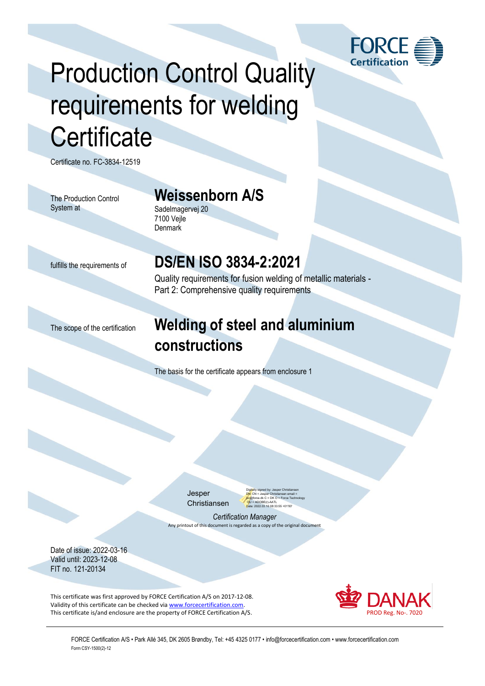

# Production Control Quality requirements for welding **Certificate**

Certificate no. FC-3834-12519

The Production Control System at

#### **Weissenborn A/S**

Sadelmagervej 20 7100 Vejle **Denmark** 

#### fulfills the requirements of **DS/EN ISO 3834-2:2021**

Quality requirements for fusion welding of metallic materials - Part 2: Comprehensive quality requirements

### The scope of the certification **Welding of steel and aluminium constructions**

The basis for the certificate appears from enclosure 1

Jesper Christiansen Digitally signed by: Jesper Christiansen DN: CN = Jesper Christiansen email = j<mark>xc</mark>@force.dk C = DK O = Force Technology<br><mark>O</mark>U = ADOBE(r)-AATL Date: 2022.03.16 08:33:55 +01'00'

*Certification Manager* Any printout of this document is regarded as a copy of the original document

Date of issue: 2022-03-16 Valid until: 2023-12-08 FIT no. 121-20134

This certificate was first approved by FORCE Certification A/S on 2017-12-08. Validity of this certificate can be checked via [www.forcecertification.com.](http://www.forcecertification.com/) This certificate is/and enclosure are the property of FORCE Certification A/S. PROD Reg. No-. 7020